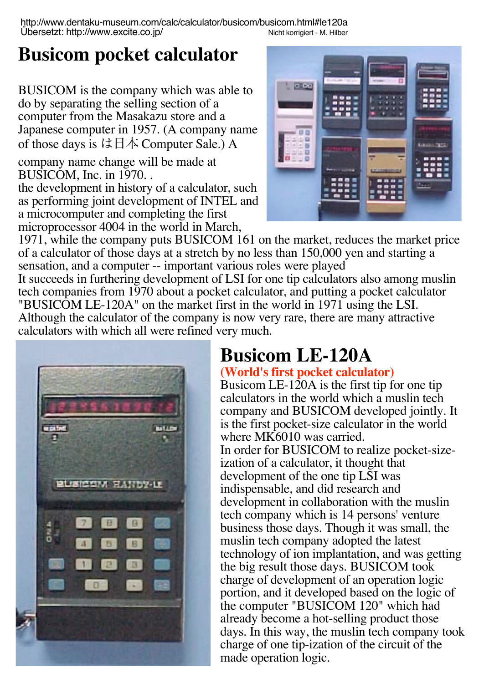http://www.dentaku-museum.com/calc/calculator/busicom/busicom.html#le120a Übersetzt: http://www.excite.co.jp/ Nicht korrigiert - M. Hilber

## **Busicom pocket calculator**

BUSICOM is the company which was able to do by separating the selling section of a computer from the Masakazu store and a Japanese computer in 1957. (A company name of those days is は日本 Computer Sale.) A

company name change will be made at BUSICOM, Inc. in 1970. .

the development in history of a calculator, such as performing joint development of INTEL and a microcomputer and completing the first microprocessor 4004 in the world in March,



1971, while the company puts BUSICOM 161 on the market, reduces the market price of a calculator of those days at a stretch by no less than 150,000 yen and starting a sensation, and a computer -- important various roles were played

It succeeds in furthering development of LSI for one tip calculators also among muslin tech companies from 1970 about a pocket calculator, and putting a pocket calculator "BUSICOM LE-120A" on the market first in the world in 1971 using the LSI. Although the calculator of the company is now very rare, there are many attractive calculators with which all were refined very much.



# **Busicom LE-120A**

#### **(World's first pocket calculator)**

Busicom LE-120A is the first tip for one tip calculators in the world which a muslin tech company and BUSICOM developed jointly. It is the first pocket-size calculator in the world where MK6010 was carried. In order for BUSICOM to realize pocket-size-

ization of a calculator, it thought that development of the one tip LSI was indispensable, and did research and development in collaboration with the muslin tech company which is 14 persons' venture business those days. Though it was small, the muslin tech company adopted the latest technology of ion implantation, and was getting the big result those days. BUSICOM took charge of development of an operation logic portion, and it developed based on the logic of the computer "BUSICOM 120" which had already become a hot-selling product those days. In this way, the muslin tech company took charge of one tip-ization of the circuit of the made operation logic.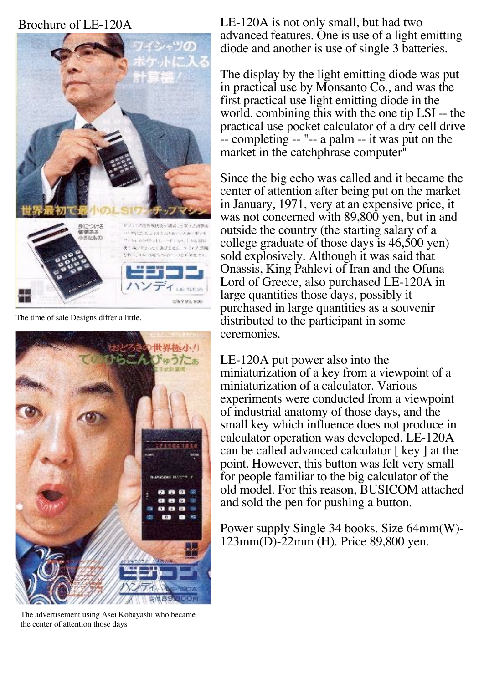#### Brochure of LE-120A



The time of sale Designs differ a little.



The advertisement using Asei Kobayashi who became the center of attention those days

LE-120A is not only small, but had two advanced features. One is use of a light emitting diode and another is use of single 3 batteries.

The display by the light emitting diode was put in practical use by Monsanto Co., and was the first practical use light emitting diode in the world. combining this with the one tip LSI -- the practical use pocket calculator of a dry cell drive -- completing -- "-- a palm -- it was put on the market in the catchphrase computer<sup>"</sup>

Since the big echo was called and it became the center of attention after being put on the market in January, 1971, very at an expensive price, it was not concerned with 89,800 yen, but in and outside the country (the starting salary of a college graduate of those days is 46,500 yen) sold explosively. Although it was said that Onassis, King Pahlevi of Iran and the Ofuna Lord of Greece, also purchased LE-120A in large quantities those days, possibly it purchased in large quantities as a souvenir distributed to the participant in some ceremonies.

LE-120A put power also into the miniaturization of a key from a viewpoint of a miniaturization of a calculator. Various experiments were conducted from a viewpoint of industrial anatomy of those days, and the small key which influence does not produce in calculator operation was developed. LE-120A can be called advanced calculator [ key ] at the point. However, this button was felt very small for people familiar to the big calculator of the old model. For this reason, BUSICOM attached and sold the pen for pushing a button.

Power supply Single 34 books. Size 64mm(W)- 123mm(D)-22mm (H). Price 89,800 yen.